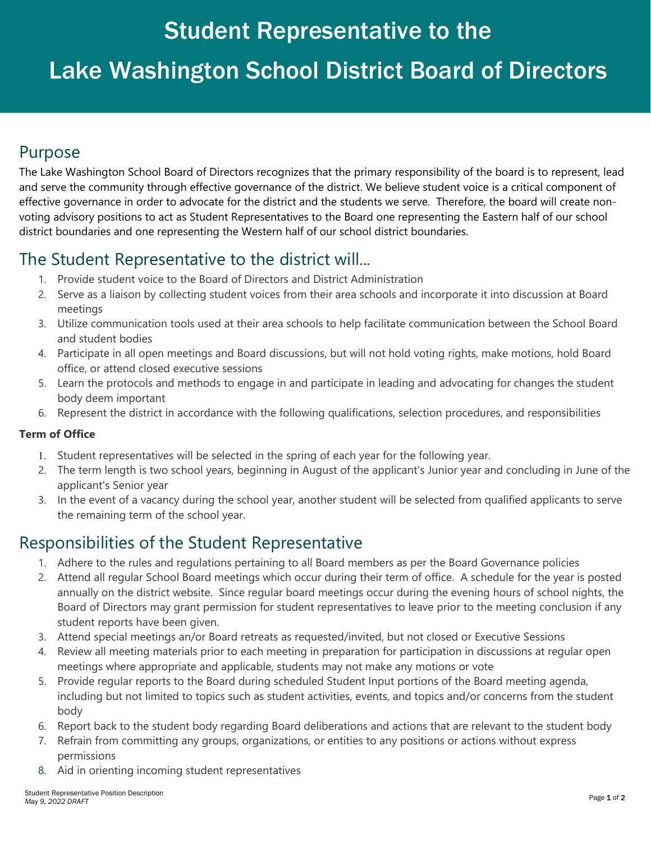## Student Representative to the

# Lake Washington School District Board of Directors

### Purpose

The Lake Washington School Board of Directors recognizes that the primary responsibility of the board is to represent, lead and serve the community through effective governance of the district. We believe student voice is a critical component of effective governance in order to advocate for the district and the students we serve. Therefore, the board will create nonvoting advisory positions to act as Student Representatives to the Board one representing the Eastern half of our school district boundaries and one representing the Western half of our school district boundaries.

## The Student Representative to the district will...

- 1. Provide student voice to the Board of Directors and District Administration
- 2. Serve as a liaison by collecting student voices from their area schools and incorporate it into discussion at Board meetings
- 3. Utilize communication tools used at their area schools to help facilitate communication between the School Board and student bodies
- 4. Participate in all open meetings and Board discussions, but will not hold voting rights, make motions, hold Board office, or attend closed executive sessions
- 5. Learn the protocols and methods to engage in and participate in leading and advocating for changes the student body deem important
- 6. Represent the district in accordance with the following qualifications, selection procedures, and responsibilities

### **Term of Office**

- 1. Student representatives will be selected in the spring of each year for the following year.
- 2. The term length is two school years, beginning in August of the applicant's Junior year and concluding in June of the applicant's Senior year
- 3. In the event of a vacancy during the school year, another student will be selected from qualified applicants to serve the remaining term of the school year.

## Responsibilities of the Student Representative

- 1. Adhere to the rules and regulations pertaining to all Board members as per the Board Governance policies
- 2. Attend all regular School Board meetings which occur during their term of office. A schedule for the year is posted annually on the district website. Since regular board meetings occur during the evening hours of school nights, the Board of Directors may grant permission for student representatives to leave prior to the meeting conclusion if any student reports have been given.
- 3. Attend special meetings an/or Board retreats as requested/invited, but not closed or Executive Sessions
- 4. Review all meeting materials prior to each meeting in preparation for participation in discussions at regular open meetings where appropriate and applicable, students may not make any motions or vote
- 5. Provide regular reports to the Board during scheduled Student Input portions of the Board meeting agenda, including but not limited to topics such as student activities, events, and topics and/or concerns from the student body
- 6. Report back to the student body regarding Board deliberations and actions that are relevant to the student body
- 7. Refrain from committing any groups, organizations, or entities to any positions or actions without express permissions
- 8. Aid in orienting incoming student representatives